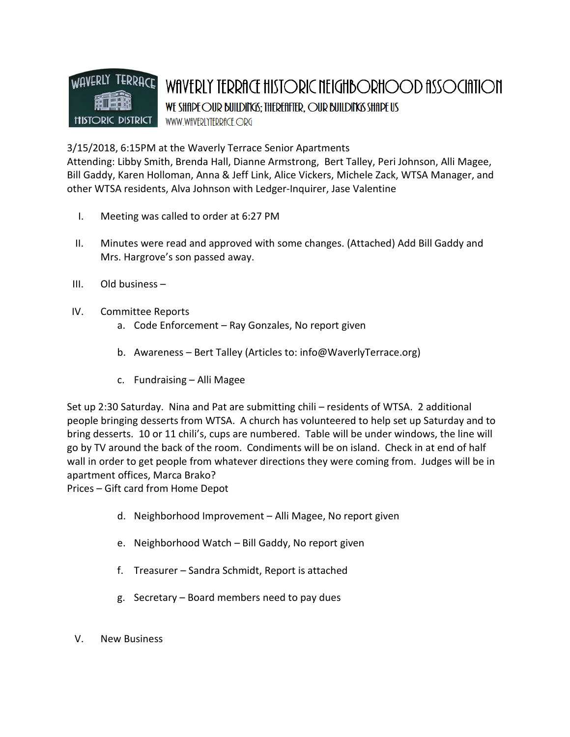

3/15/2018, 6:15PM at the Waverly Terrace Senior Apartments

Attending: Libby Smith, Brenda Hall, Dianne Armstrong, Bert Talley, Peri Johnson, Alli Magee, Bill Gaddy, Karen Holloman, Anna & Jeff Link, Alice Vickers, Michele Zack, WTSA Manager, and other WTSA residents, Alva Johnson with Ledger-Inquirer, Jase Valentine

- I. Meeting was called to order at 6:27 PM
- II. Minutes were read and approved with some changes. (Attached) Add Bill Gaddy and Mrs. Hargrove's son passed away.
- III. Old business –
- IV. Committee Reports
	- a. Code Enforcement Ray Gonzales, No report given
	- b. Awareness Bert Talley (Articles to: info@WaverlyTerrace.org)
	- c. Fundraising Alli Magee

Set up 2:30 Saturday. Nina and Pat are submitting chili – residents of WTSA. 2 additional people bringing desserts from WTSA. A church has volunteered to help set up Saturday and to bring desserts. 10 or 11 chili's, cups are numbered. Table will be under windows, the line will go by TV around the back of the room. Condiments will be on island. Check in at end of half wall in order to get people from whatever directions they were coming from. Judges will be in apartment offices, Marca Brako?

Prices – Gift card from Home Depot

- d. Neighborhood Improvement Alli Magee, No report given
- e. Neighborhood Watch Bill Gaddy, No report given
- f. Treasurer Sandra Schmidt, Report is attached
- g. Secretary Board members need to pay dues
- V. New Business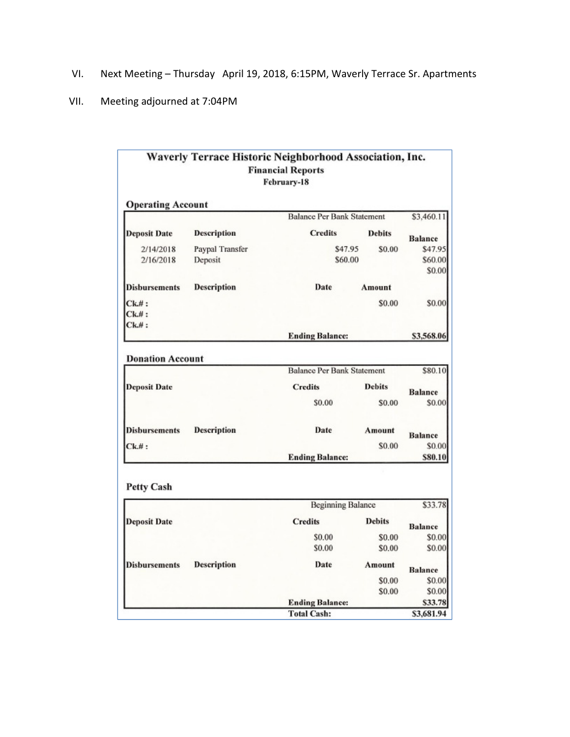- VI. Next Meeting Thursday April 19, 2018, 6:15PM, Waverly Terrace Sr. Apartments
- VII. Meeting adjourned at 7:04PM

|                          |                    | Waverly Terrace Historic Neighborhood Association, Inc.<br><b>Financial Reports</b><br>February-18 |                   |                |
|--------------------------|--------------------|----------------------------------------------------------------------------------------------------|-------------------|----------------|
| <b>Operating Account</b> |                    |                                                                                                    |                   |                |
|                          |                    | <b>Balance Per Bank Statement</b>                                                                  | \$3,460.11        |                |
| <b>Deposit Date</b>      | <b>Description</b> | <b>Credits</b>                                                                                     | <b>Debits</b>     | <b>Balance</b> |
| 2/14/2018                | Paypal Transfer    | \$47.95<br>\$0.00                                                                                  |                   | \$47.95        |
| 2/16/2018                | Deposit            | \$60.00                                                                                            |                   | \$60.00        |
|                          |                    |                                                                                                    | \$0.00            |                |
| <b>Disbursements</b>     | <b>Description</b> | Date                                                                                               | Amount            |                |
| $Ck$ #:                  |                    |                                                                                                    | \$0.00            | \$0.00         |
| $Ck$ #:                  |                    |                                                                                                    |                   |                |
| $Ck$ .#:                 |                    |                                                                                                    |                   |                |
|                          |                    | <b>Ending Balance:</b>                                                                             |                   | \$3,568.06     |
| <b>Donation Account</b>  |                    | <b>Balance Per Bank Statement</b>                                                                  | \$80.10           |                |
| <b>Deposit Date</b>      |                    | <b>Credits</b>                                                                                     | <b>Debits</b>     | <b>Balance</b> |
|                          |                    | \$0.00                                                                                             | \$0.00            | \$0.00         |
| <b>Disbursements</b>     | <b>Description</b> | Date                                                                                               | Amount<br>\$0.00  | <b>Balance</b> |
| $Ck$ .# $:$              |                    | <b>Ending Balance:</b>                                                                             | \$0.00<br>\$80.10 |                |
| <b>Petty Cash</b>        |                    | <b>Beginning Balance</b>                                                                           |                   | \$33.78        |
|                          |                    |                                                                                                    |                   |                |
| <b>Deposit Date</b>      |                    | <b>Credits</b>                                                                                     | <b>Debits</b>     | <b>Balance</b> |
|                          |                    | \$0.00                                                                                             | \$0.00            | \$0.00         |
|                          |                    | \$0.00                                                                                             | \$0.00            | \$0.00         |
| <b>Disbursements</b>     | <b>Description</b> | Date                                                                                               | Amount            | <b>Balance</b> |
|                          |                    |                                                                                                    | \$0.00            | \$0.00         |
|                          |                    |                                                                                                    | \$0.00            | \$0.00         |
|                          |                    | <b>Ending Balance:</b>                                                                             |                   | \$33.78        |
|                          |                    | <b>Total Cash:</b>                                                                                 |                   | \$3,681.94     |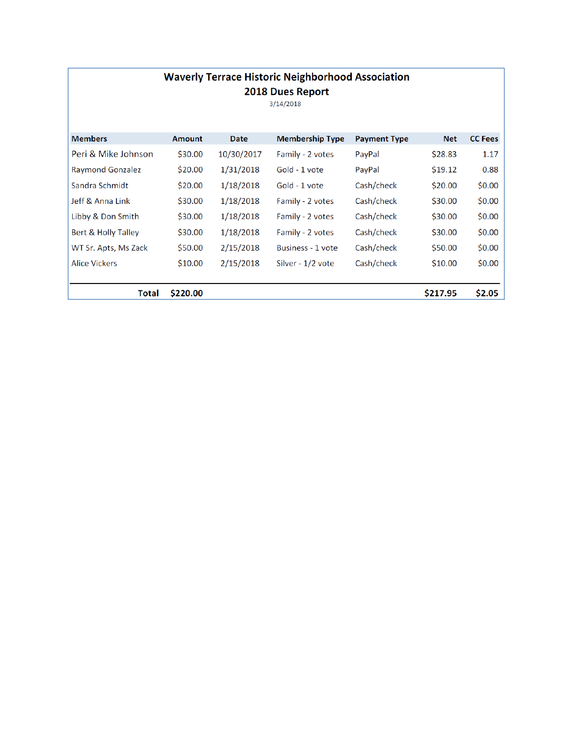| <b>Waverly Terrace Historic Neighborhood Association</b> |  |  |  |  |  |
|----------------------------------------------------------|--|--|--|--|--|
| 2018 Dues Report                                         |  |  |  |  |  |

 $3/14/2018$ 

| <b>Members</b>          | <b>Amount</b> | Date       | <b>Membership Type</b> | <b>Payment Type</b> | <b>Net</b> | <b>CC Fees</b> |
|-------------------------|---------------|------------|------------------------|---------------------|------------|----------------|
| Peri & Mike Johnson     | \$30.00       | 10/30/2017 | Family - 2 votes       | PayPal              | \$28.83    | 1.17           |
| <b>Raymond Gonzalez</b> | \$20.00       | 1/31/2018  | Gold - 1 vote          | PayPal              | \$19.12    | 0.88           |
| Sandra Schmidt          | \$20.00       | 1/18/2018  | Gold - 1 vote          | Cash/check          | \$20.00    | \$0.00         |
| Jeff & Anna Link        | \$30.00       | 1/18/2018  | Family - 2 votes       | Cash/check          | \$30.00    | \$0.00         |
| Libby & Don Smith       | \$30.00       | 1/18/2018  | Family - 2 votes       | Cash/check          | \$30.00    | \$0.00         |
| Bert & Holly Talley     | \$30.00       | 1/18/2018  | Family - 2 votes       | Cash/check          | \$30.00    | \$0.00         |
| WT Sr. Apts, Ms Zack    | \$50.00       | 2/15/2018  | Business - 1 vote      | Cash/check          | \$50.00    | \$0.00         |
| <b>Alice Vickers</b>    | \$10.00       | 2/15/2018  | Silver - 1/2 vote      | Cash/check          | \$10.00    | \$0.00         |
|                         |               |            |                        |                     |            |                |
| <b>Total</b>            | \$220.00      |            |                        |                     | \$217.95   | \$2.05         |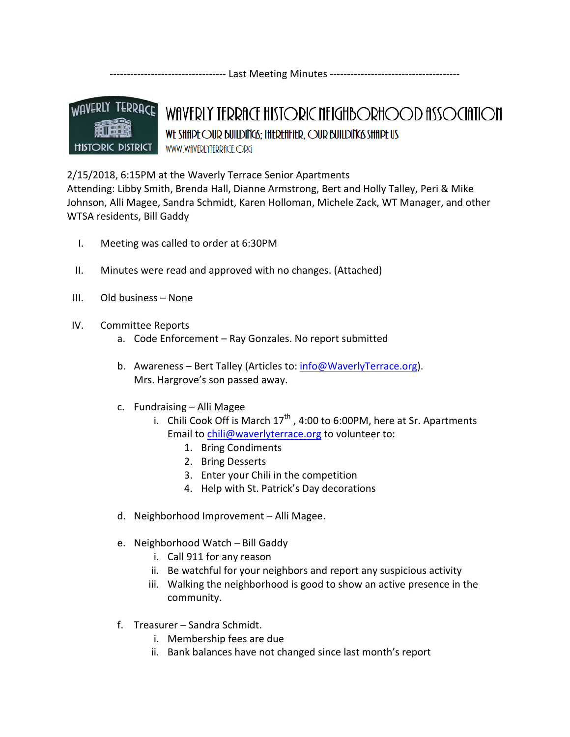---------------------------------- Last Meeting Minutes --------------------------------------



## WAVERLY TERRACE HISTORIC NEIGHBORHOOD ASSOCIATION WE SHIP FOUR BUILDING: THEREFIFTER, OUR BUILDING SHIP US WWW.WfIVERLYTERRfICE.ORG

## 2/15/2018, 6:15PM at the Waverly Terrace Senior Apartments

Attending: Libby Smith, Brenda Hall, Dianne Armstrong, Bert and Holly Talley, Peri & Mike Johnson, Alli Magee, Sandra Schmidt, Karen Holloman, Michele Zack, WT Manager, and other WTSA residents, Bill Gaddy

- I. Meeting was called to order at 6:30PM
- II. Minutes were read and approved with no changes. (Attached)
- III. Old business None
- IV. Committee Reports
	- a. Code Enforcement Ray Gonzales. No report submitted
	- b. Awareness Bert Talley (Articles to: info@WaverlyTerrace.org). Mrs. Hargrove's son passed away.
	- c. Fundraising Alli Magee
		- i. Chili Cook Off is March  $17<sup>th</sup>$ , 4:00 to 6:00PM, here at Sr. Apartments Email to chili@waverlyterrace.org to volunteer to:
			- 1. Bring Condiments
			- 2. Bring Desserts
			- 3. Enter your Chili in the competition
			- 4. Help with St. Patrick's Day decorations
	- d. Neighborhood Improvement Alli Magee.
	- e. Neighborhood Watch Bill Gaddy
		- i. Call 911 for any reason
		- ii. Be watchful for your neighbors and report any suspicious activity
		- iii. Walking the neighborhood is good to show an active presence in the community.
	- f. Treasurer Sandra Schmidt.
		- i. Membership fees are due
		- ii. Bank balances have not changed since last month's report